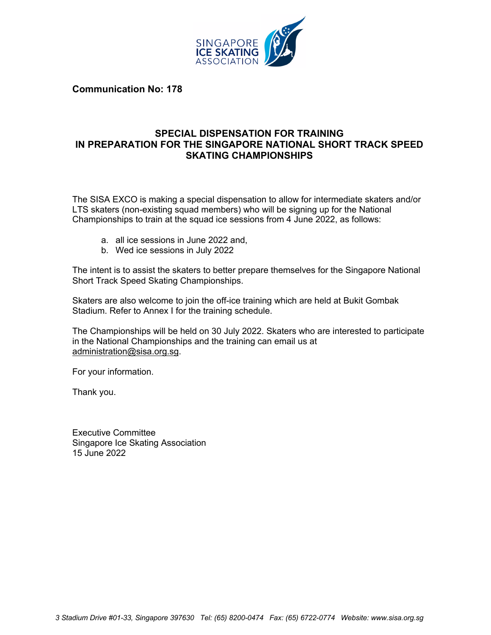

**Communication No: 178**

## **SPECIAL DISPENSATION FOR TRAINING IN PREPARATION FOR THE SINGAPORE NATIONAL SHORT TRACK SPEED SKATING CHAMPIONSHIPS**

The SISA EXCO is making a special dispensation to allow for intermediate skaters and/or LTS skaters (non-existing squad members) who will be signing up for the National Championships to train at the squad ice sessions from 4 June 2022, as follows:

- a. all ice sessions in June 2022 and,
- b. Wed ice sessions in July 2022

The intent is to assist the skaters to better prepare themselves for the Singapore National Short Track Speed Skating Championships.

Skaters are also welcome to join the off-ice training which are held at Bukit Gombak Stadium. Refer to Annex I for the training schedule.

The Championships will be held on 30 July 2022. Skaters who are interested to participate in the National Championships and the training can email us at administration@sisa.org.sg.

For your information.

Thank you.

Executive Committee Singapore Ice Skating Association 15 June 2022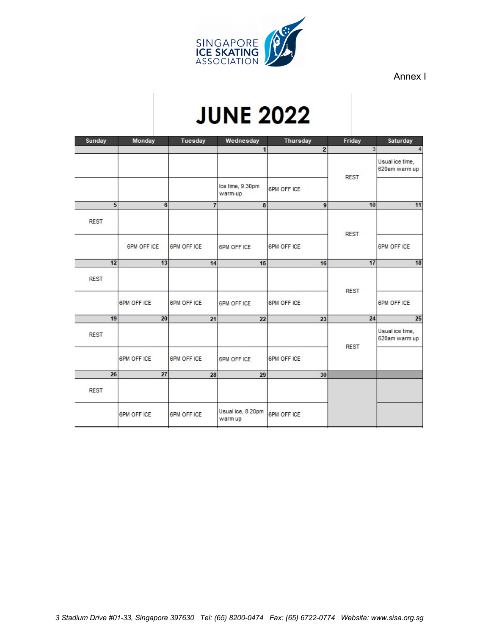

Annex I

## **JUNE 2022**

| Sunday      | Monday              | Tuesday            | Wednesday                    | <b>Thursday</b>         | Friday         | Saturday                         |
|-------------|---------------------|--------------------|------------------------------|-------------------------|----------------|----------------------------------|
|             |                     |                    | $\mathbf{1}$                 | $\overline{\mathbf{c}}$ | 3 <sup>1</sup> |                                  |
|             |                     |                    |                              |                         | <b>REST</b>    | Usual ice time,<br>620am warm up |
|             |                     |                    | Ice time, 9.30pm<br>warm-up  | <b>6PM OFF ICE</b>      |                |                                  |
|             | 5<br>$6\phantom{1}$ | $\overline{1}$     | 8                            | 9                       | 10             | 11                               |
| <b>REST</b> |                     |                    |                              |                         | <b>REST</b>    |                                  |
|             | <b>6PM OFF ICE</b>  | <b>6PM OFF ICE</b> | <b>6PM OFF ICE</b>           | <b>6PM OFF ICE</b>      |                | <b>6PM OFF ICE</b>               |
| 12          | 13                  | 14                 | 15                           | 16                      | 17             | 18                               |
| <b>REST</b> |                     |                    |                              |                         | <b>REST</b>    |                                  |
|             | <b>6PM OFF ICE</b>  | <b>6PM OFF ICE</b> | <b>6PM OFF ICE</b>           | <b>6PM OFF ICE</b>      |                | <b>6PM OFF ICE</b>               |
| 19          | $\overline{20}$     | 21                 | 22                           | 23                      | 24             | 25                               |
| <b>REST</b> |                     |                    |                              |                         | <b>REST</b>    | Usual ice time,<br>620am warm up |
|             | <b>6PM OFF ICE</b>  | <b>6PM OFF ICE</b> | <b>6PM OFF ICE</b>           | <b>6PM OFF ICE</b>      |                |                                  |
| 26          | $\overline{27}$     | 28                 | 29                           | 30                      |                |                                  |
| <b>REST</b> |                     |                    |                              |                         |                |                                  |
|             | <b>6PM OFF ICE</b>  | <b>6PM OFF ICE</b> | Usual ice, 8.20pm<br>warm up | <b>6PM OFF ICE</b>      |                |                                  |
|             |                     |                    |                              |                         |                |                                  |